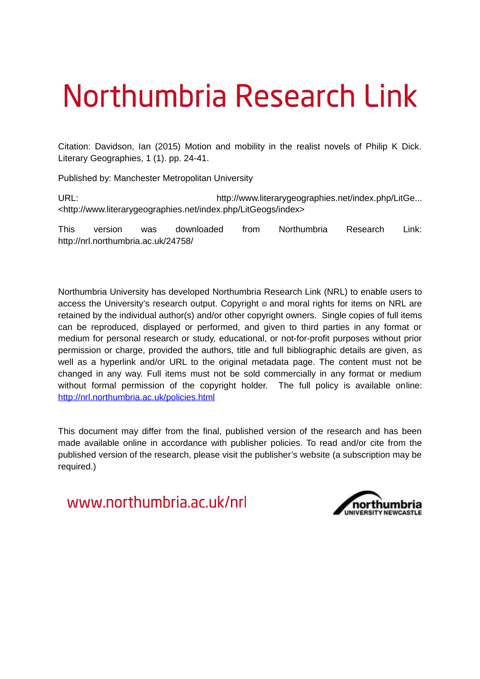# Northumbria Research Link

Citation: Davidson, Ian (2015) Motion and mobility in the realist novels of Philip K Dick. Literary Geographies, 1 (1). pp. 24-41.

Published by: Manchester Metropolitan University

URL: URL: http://www.literarygeographies.net/index.php/LitGe... <http://www.literarygeographies.net/index.php/LitGeogs/index>

This version was downloaded from Northumbria Research Link: http://nrl.northumbria.ac.uk/24758/

Northumbria University has developed Northumbria Research Link (NRL) to enable users to access the University's research output. Copyright  $\circ$  and moral rights for items on NRL are retained by the individual author(s) and/or other copyright owners. Single copies of full items can be reproduced, displayed or performed, and given to third parties in any format or medium for personal research or study, educational, or not-for-profit purposes without prior permission or charge, provided the authors, title and full bibliographic details are given, as well as a hyperlink and/or URL to the original metadata page. The content must not be changed in any way. Full items must not be sold commercially in any format or medium without formal permission of the copyright holder. The full policy is available online: <http://nrl.northumbria.ac.uk/policies.html>

This document may differ from the final, published version of the research and has been made available online in accordance with publisher policies. To read and/or cite from the published version of the research, please visit the publisher's website (a subscription may be required.)

www.northumbria.ac.uk/nrl

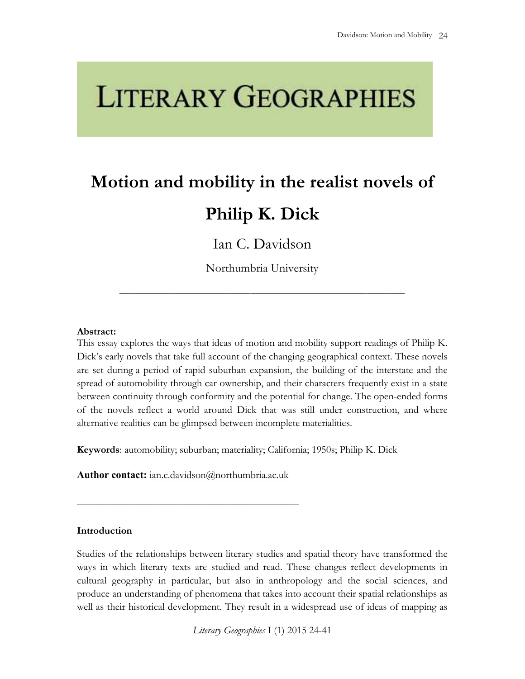## **LITERARY GEOGRAPHIES**

### **Motion and mobility in the realist novels of Philip K. Dick**

Ian C. Davidson

Northumbria University

\_\_\_\_\_\_\_\_\_\_\_\_\_\_\_\_\_\_\_\_\_\_\_\_\_\_\_\_\_\_\_\_\_\_\_\_\_

#### **Abstract:**

This essay explores the ways that ideas of motion and mobility support readings of Philip K. Dick's early novels that take full account of the changing geographical context. These novels are set during a period of rapid suburban expansion, the building of the interstate and the spread of automobility through car ownership, and their characters frequently exist in a state between continuity through conformity and the potential for change. The open-ended forms of the novels reflect a world around Dick that was still under construction, and where alternative realities can be glimpsed between incomplete materialities.

**Keywords**: automobility; suburban; materiality; California; 1950s; Philip K. Dick

**Author contact:** ian.c.davidson@northumbria.ac.uk

\_\_\_\_\_\_\_\_\_\_\_\_\_\_\_\_\_\_\_\_\_\_\_\_\_\_\_\_\_\_\_\_\_\_\_\_\_

#### **Introduction**

Studies of the relationships between literary studies and spatial theory have transformed the ways in which literary texts are studied and read. These changes reflect developments in cultural geography in particular, but also in anthropology and the social sciences, and produce an understanding of phenomena that takes into account their spatial relationships as well as their historical development. They result in a widespread use of ideas of mapping as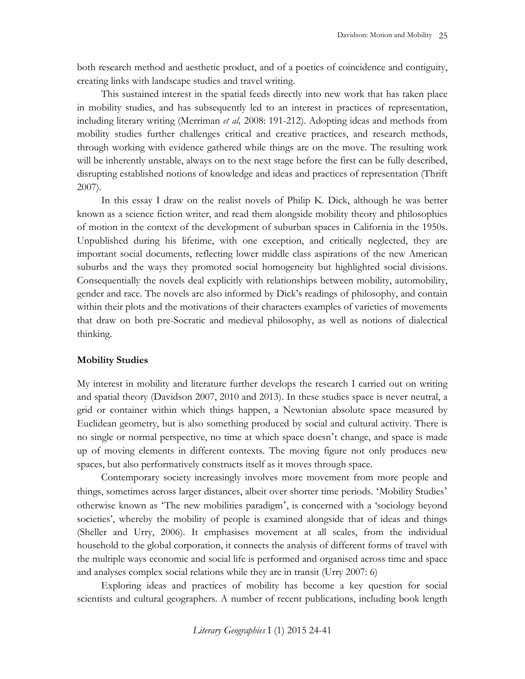both research method and aesthetic product, and of a poetics of coincidence and contiguity, creating links with landscape studies and travel writing.

This sustained interest in the spatial feeds directly into new work that has taken place in mobility studies, and has subsequently led to an interest in practices of representation, including literary writing (Merriman *et al,* 2008: 191-212). Adopting ideas and methods from mobility studies further challenges critical and creative practices, and research methods, through working with evidence gathered while things are on the move. The resulting work will be inherently unstable, always on to the next stage before the first can be fully described, disrupting established notions of knowledge and ideas and practices of representation (Thrift 2007).

In this essay I draw on the realist novels of Philip K. Dick, although he was better known as a science fiction writer, and read them alongside mobility theory and philosophies of motion in the context of the development of suburban spaces in California in the 1950s. Unpublished during his lifetime, with one exception, and critically neglected, they are important social documents, reflecting lower middle class aspirations of the new American suburbs and the ways they promoted social homogeneity but highlighted social divisions. Consequentially the novels deal explicitly with relationships between mobility, automobility, gender and race. The novels are also informed by Dick's readings of philosophy, and contain within their plots and the motivations of their characters examples of varieties of movements that draw on both pre-Socratic and medieval philosophy, as well as notions of dialectical thinking.

#### **Mobility Studies**

My interest in mobility and literature further develops the research I carried out on writing and spatial theory (Davidson 2007, 2010 and 2013). In these studies space is never neutral, a grid or container within which things happen, a Newtonian absolute space measured by Euclidean geometry, but is also something produced by social and cultural activity. There is no single or normal perspective, no time at which space doesn't change, and space is made up of moving elements in different contexts. The moving figure not only produces new spaces, but also performatively constructs itself as it moves through space.

Contemporary society increasingly involves more movement from more people and things, sometimes across larger distances, albeit over shorter time periods. 'Mobility Studies' otherwise known as 'The new mobilities paradigm', is concerned with a 'sociology beyond societies', whereby the mobility of people is examined alongside that of ideas and things (Sheller and Urry, 2006). It emphasises movement at all scales, from the individual household to the global corporation, it connects the analysis of different forms of travel with the multiple ways economic and social life is performed and organised across time and space and analyses complex social relations while they are in transit (Urry 2007: 6)

Exploring ideas and practices of mobility has become a key question for social scientists and cultural geographers. A number of recent publications, including book length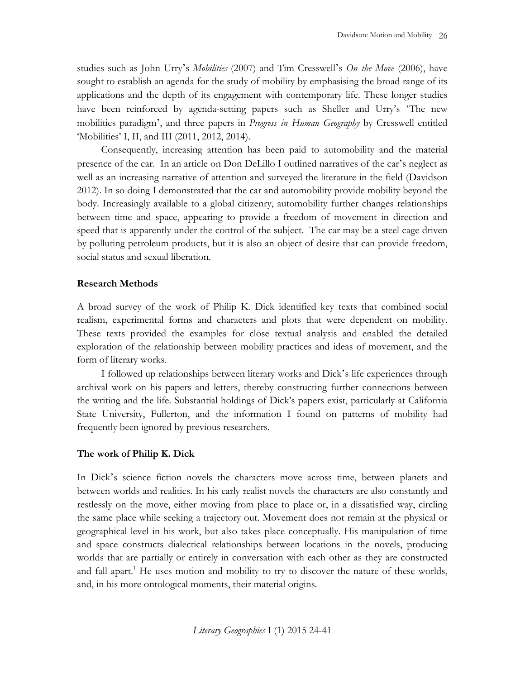studies such as John Urry's *Mobilities* (2007) and Tim Cresswell's *On the Move* (2006), have sought to establish an agenda for the study of mobility by emphasising the broad range of its applications and the depth of its engagement with contemporary life. These longer studies have been reinforced by agenda-setting papers such as Sheller and Urry's 'The new mobilities paradigm', and three papers in *Progress in Human Geography* by Cresswell entitled 'Mobilities' I, II, and III (2011, 2012, 2014).

Consequently, increasing attention has been paid to automobility and the material presence of the car. In an article on Don DeLillo I outlined narratives of the car's neglect as well as an increasing narrative of attention and surveyed the literature in the field (Davidson 2012). In so doing I demonstrated that the car and automobility provide mobility beyond the body. Increasingly available to a global citizenry, automobility further changes relationships between time and space, appearing to provide a freedom of movement in direction and speed that is apparently under the control of the subject. The car may be a steel cage driven by polluting petroleum products, but it is also an object of desire that can provide freedom, social status and sexual liberation.

#### **Research Methods**

A broad survey of the work of Philip K. Dick identified key texts that combined social realism, experimental forms and characters and plots that were dependent on mobility. These texts provided the examples for close textual analysis and enabled the detailed exploration of the relationship between mobility practices and ideas of movement, and the form of literary works.

I followed up relationships between literary works and Dick's life experiences through archival work on his papers and letters, thereby constructing further connections between the writing and the life. Substantial holdings of Dick's papers exist, particularly at California State University, Fullerton, and the information I found on patterns of mobility had frequently been ignored by previous researchers.

#### **The work of Philip K. Dick**

In Dick's science fiction novels the characters move across time, between planets and between worlds and realities. In his early realist novels the characters are also constantly and restlessly on the move, either moving from place to place or, in a dissatisfied way, circling the same place while seeking a trajectory out. Movement does not remain at the physical or geographical level in his work, but also takes place conceptually. His manipulation of time and space constructs dialectical relationships between locations in the novels, producing worlds that are partially or entirely in conversation with each other as they are constructed and fall apart.<sup>1</sup> He uses motion and mobility to try to discover the nature of these worlds, and, in his more ontological moments, their material origins.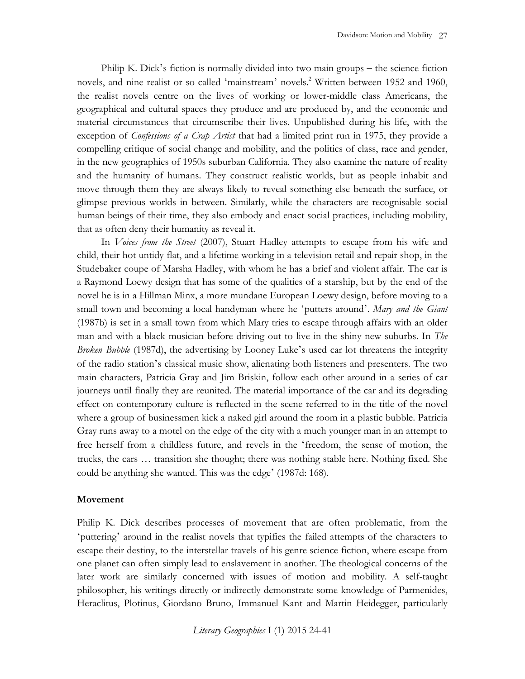Philip K. Dick's fiction is normally divided into two main groups – the science fiction novels, and nine realist or so called 'mainstream' novels.<sup>2</sup> Written between 1952 and 1960, the realist novels centre on the lives of working or lower-middle class Americans, the geographical and cultural spaces they produce and are produced by, and the economic and material circumstances that circumscribe their lives. Unpublished during his life, with the exception of *Confessions of a Crap Artist* that had a limited print run in 1975, they provide a compelling critique of social change and mobility, and the politics of class, race and gender, in the new geographies of 1950s suburban California. They also examine the nature of reality and the humanity of humans. They construct realistic worlds, but as people inhabit and move through them they are always likely to reveal something else beneath the surface, or glimpse previous worlds in between. Similarly, while the characters are recognisable social human beings of their time, they also embody and enact social practices, including mobility, that as often deny their humanity as reveal it.

In *Voices from the Street* (2007), Stuart Hadley attempts to escape from his wife and child, their hot untidy flat, and a lifetime working in a television retail and repair shop, in the Studebaker coupe of Marsha Hadley, with whom he has a brief and violent affair. The car is a Raymond Loewy design that has some of the qualities of a starship, but by the end of the novel he is in a Hillman Minx, a more mundane European Loewy design, before moving to a small town and becoming a local handyman where he 'putters around'. *Mary and the Giant* (1987b) is set in a small town from which Mary tries to escape through affairs with an older man and with a black musician before driving out to live in the shiny new suburbs. In *The Broken Bubble* (1987d), the advertising by Looney Luke's used car lot threatens the integrity of the radio station's classical music show, alienating both listeners and presenters. The two main characters, Patricia Gray and Jim Briskin, follow each other around in a series of car journeys until finally they are reunited. The material importance of the car and its degrading effect on contemporary culture is reflected in the scene referred to in the title of the novel where a group of businessmen kick a naked girl around the room in a plastic bubble. Patricia Gray runs away to a motel on the edge of the city with a much younger man in an attempt to free herself from a childless future, and revels in the 'freedom, the sense of motion, the trucks, the cars … transition she thought; there was nothing stable here. Nothing fixed. She could be anything she wanted. This was the edge' (1987d: 168).

#### **Movement**

Philip K. Dick describes processes of movement that are often problematic, from the 'puttering' around in the realist novels that typifies the failed attempts of the characters to escape their destiny, to the interstellar travels of his genre science fiction, where escape from one planet can often simply lead to enslavement in another. The theological concerns of the later work are similarly concerned with issues of motion and mobility. A self-taught philosopher, his writings directly or indirectly demonstrate some knowledge of Parmenides, Heraclitus, Plotinus, Giordano Bruno, Immanuel Kant and Martin Heidegger, particularly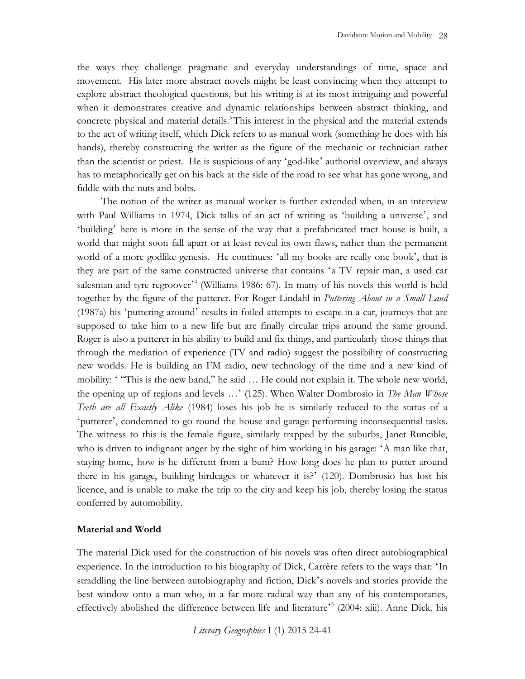the ways they challenge pragmatic and everyday understandings of time, space and movement. His later more abstract novels might be least convincing when they attempt to explore abstract theological questions, but his writing is at its most intriguing and powerful when it demonstrates creative and dynamic relationships between abstract thinking, and concrete physical and material details.<sup>3</sup>This interest in the physical and the material extends to the act of writing itself, which Dick refers to as manual work (something he does with his hands), thereby constructing the writer as the figure of the mechanic or technician rather than the scientist or priest. He is suspicious of any 'god-like' authorial overview, and always has to metaphorically get on his back at the side of the road to see what has gone wrong, and fiddle with the nuts and bolts.

The notion of the writer as manual worker is further extended when, in an interview with Paul Williams in 1974, Dick talks of an act of writing as 'building a universe', and 'building' here is more in the sense of the way that a prefabricated tract house is built, a world that might soon fall apart or at least reveal its own flaws, rather than the permanent world of a more godlike genesis. He continues: 'all my books are really one book', that is they are part of the same constructed universe that contains 'a TV repair man, a used car salesman and tyre regroover' 4 (Williams 1986: 67). In many of his novels this world is held together by the figure of the putterer. For Roger Lindahl in *Puttering About in a Small Land* (1987a) his 'puttering around' results in foiled attempts to escape in a car, journeys that are supposed to take him to a new life but are finally circular trips around the same ground. Roger is also a putterer in his ability to build and fix things, and particularly those things that through the mediation of experience (TV and radio) suggest the possibility of constructing new worlds. He is building an FM radio, new technology of the time and a new kind of mobility: ' "This is the new band," he said … He could not explain it. The whole new world, the opening up of regions and levels …' (125). When Walter Dombrosio in *The Man Whose Teeth are all Exactly Alike* (1984) loses his job he is similarly reduced to the status of a 'putterer', condemned to go round the house and garage performing inconsequential tasks. The witness to this is the female figure, similarly trapped by the suburbs, Janet Runcible, who is driven to indignant anger by the sight of him working in his garage: 'A man like that, staying home, how is he different from a bum? How long does he plan to putter around there in his garage, building birdcages or whatever it is?' (120). Dombrosio has lost his licence, and is unable to make the trip to the city and keep his job, thereby losing the status conferred by automobility.

#### **Material and World**

The material Dick used for the construction of his novels was often direct autobiographical experience. In the introduction to his biography of Dick, Carrère refers to the ways that: 'In straddling the line between autobiography and fiction, Dick's novels and stories provide the best window onto a man who, in a far more radical way than any of his contemporaries, effectively abolished the difference between life and literature'<sup>5</sup> (2004: xiii). Anne Dick, his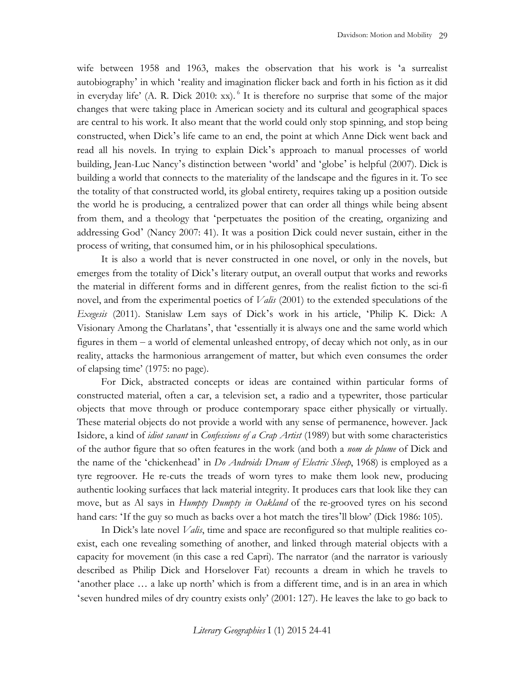wife between 1958 and 1963, makes the observation that his work is 'a surrealist autobiography' in which 'reality and imagination flicker back and forth in his fiction as it did in everyday life' (A. R. Dick 2010: xx). <sup>6</sup> It is therefore no surprise that some of the major changes that were taking place in American society and its cultural and geographical spaces are central to his work. It also meant that the world could only stop spinning, and stop being constructed, when Dick's life came to an end, the point at which Anne Dick went back and read all his novels. In trying to explain Dick's approach to manual processes of world building, Jean-Luc Nancy's distinction between 'world' and 'globe' is helpful (2007). Dick is building a world that connects to the materiality of the landscape and the figures in it. To see the totality of that constructed world, its global entirety, requires taking up a position outside the world he is producing, a centralized power that can order all things while being absent from them, and a theology that 'perpetuates the position of the creating, organizing and addressing God' (Nancy 2007: 41). It was a position Dick could never sustain, either in the process of writing, that consumed him, or in his philosophical speculations.

It is also a world that is never constructed in one novel, or only in the novels, but emerges from the totality of Dick's literary output, an overall output that works and reworks the material in different forms and in different genres, from the realist fiction to the sci-fi novel, and from the experimental poetics of *Valis* (2001) to the extended speculations of the *Exegesis* (2011). Stanislaw Lem says of Dick's work in his article, 'Philip K. Dick: A Visionary Among the Charlatans', that 'essentially it is always one and the same world which figures in them – a world of elemental unleashed entropy, of decay which not only, as in our reality, attacks the harmonious arrangement of matter, but which even consumes the order of elapsing time' (1975: no page).

For Dick, abstracted concepts or ideas are contained within particular forms of constructed material, often a car, a television set, a radio and a typewriter, those particular objects that move through or produce contemporary space either physically or virtually. These material objects do not provide a world with any sense of permanence, however. Jack Isidore, a kind of *idiot savant* in *Confessions of a Crap Artist* (1989) but with some characteristics of the author figure that so often features in the work (and both a *nom de plume* of Dick and the name of the 'chickenhead' in *Do Androids Dream of Electric Sheep*, 1968) is employed as a tyre regroover. He re-cuts the treads of worn tyres to make them look new, producing authentic looking surfaces that lack material integrity. It produces cars that look like they can move, but as Al says in *Humpty Dumpty in Oakland* of the re-grooved tyres on his second hand cars: 'If the guy so much as backs over a hot match the tires'll blow' (Dick 1986: 105).

In Dick's late novel *Valis*, time and space are reconfigured so that multiple realities coexist, each one revealing something of another, and linked through material objects with a capacity for movement (in this case a red Capri). The narrator (and the narrator is variously described as Philip Dick and Horselover Fat) recounts a dream in which he travels to 'another place … a lake up north' which is from a different time, and is in an area in which 'seven hundred miles of dry country exists only' (2001: 127). He leaves the lake to go back to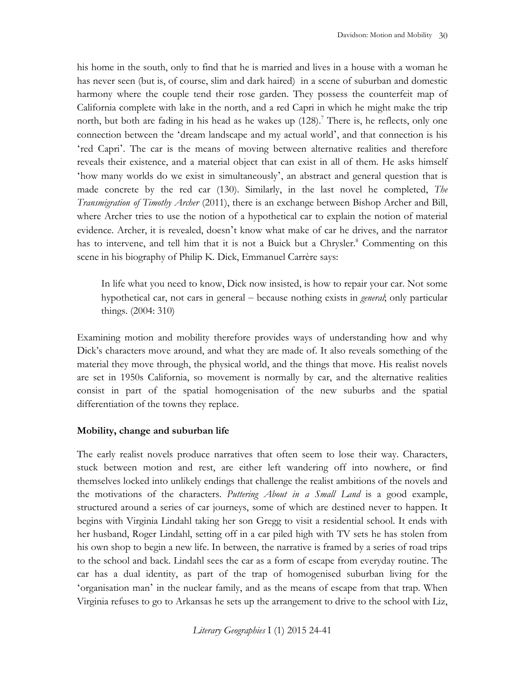his home in the south, only to find that he is married and lives in a house with a woman he has never seen (but is, of course, slim and dark haired) in a scene of suburban and domestic harmony where the couple tend their rose garden. They possess the counterfeit map of California complete with lake in the north, and a red Capri in which he might make the trip north, but both are fading in his head as he wakes up  $(128)$ .<sup>7</sup> There is, he reflects, only one connection between the 'dream landscape and my actual world', and that connection is his 'red Capri'. The car is the means of moving between alternative realities and therefore reveals their existence, and a material object that can exist in all of them. He asks himself 'how many worlds do we exist in simultaneously', an abstract and general question that is made concrete by the red car (130). Similarly, in the last novel he completed, *The Transmigration of Timothy Archer* (2011), there is an exchange between Bishop Archer and Bill, where Archer tries to use the notion of a hypothetical car to explain the notion of material evidence. Archer, it is revealed, doesn't know what make of car he drives, and the narrator has to intervene, and tell him that it is not a Buick but a Chrysler. <sup>8</sup> Commenting on this scene in his biography of Philip K. Dick, Emmanuel Carrère says:

In life what you need to know, Dick now insisted, is how to repair your car. Not some hypothetical car, not cars in general – because nothing exists in *general*; only particular things. (2004: 310)

Examining motion and mobility therefore provides ways of understanding how and why Dick's characters move around, and what they are made of. It also reveals something of the material they move through, the physical world, and the things that move. His realist novels are set in 1950s California, so movement is normally by car, and the alternative realities consist in part of the spatial homogenisation of the new suburbs and the spatial differentiation of the towns they replace.

#### **Mobility, change and suburban life**

The early realist novels produce narratives that often seem to lose their way. Characters, stuck between motion and rest, are either left wandering off into nowhere, or find themselves locked into unlikely endings that challenge the realist ambitions of the novels and the motivations of the characters. *Puttering About in a Small Land* is a good example, structured around a series of car journeys, some of which are destined never to happen. It begins with Virginia Lindahl taking her son Gregg to visit a residential school. It ends with her husband, Roger Lindahl, setting off in a car piled high with TV sets he has stolen from his own shop to begin a new life. In between, the narrative is framed by a series of road trips to the school and back. Lindahl sees the car as a form of escape from everyday routine. The car has a dual identity, as part of the trap of homogenised suburban living for the 'organisation man' in the nuclear family, and as the means of escape from that trap. When Virginia refuses to go to Arkansas he sets up the arrangement to drive to the school with Liz,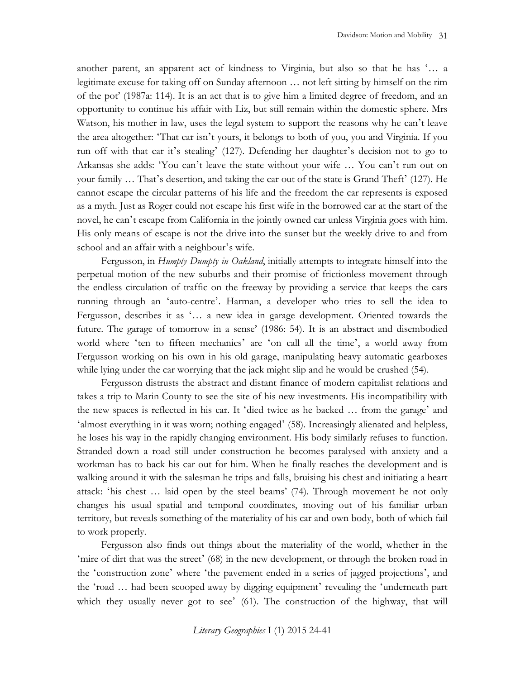another parent, an apparent act of kindness to Virginia, but also so that he has '… a legitimate excuse for taking off on Sunday afternoon … not left sitting by himself on the rim of the pot' (1987a: 114). It is an act that is to give him a limited degree of freedom, and an opportunity to continue his affair with Liz, but still remain within the domestic sphere. Mrs Watson, his mother in law, uses the legal system to support the reasons why he can't leave the area altogether: 'That car isn't yours, it belongs to both of you, you and Virginia. If you run off with that car it's stealing' (127). Defending her daughter's decision not to go to Arkansas she adds: 'You can't leave the state without your wife … You can't run out on your family … That's desertion, and taking the car out of the state is Grand Theft' (127). He cannot escape the circular patterns of his life and the freedom the car represents is exposed as a myth. Just as Roger could not escape his first wife in the borrowed car at the start of the novel, he can't escape from California in the jointly owned car unless Virginia goes with him. His only means of escape is not the drive into the sunset but the weekly drive to and from school and an affair with a neighbour's wife.

Fergusson, in *Humpty Dumpty in Oakland*, initially attempts to integrate himself into the perpetual motion of the new suburbs and their promise of frictionless movement through the endless circulation of traffic on the freeway by providing a service that keeps the cars running through an 'auto-centre'. Harman, a developer who tries to sell the idea to Fergusson, describes it as '… a new idea in garage development. Oriented towards the future. The garage of tomorrow in a sense' (1986: 54). It is an abstract and disembodied world where 'ten to fifteen mechanics' are 'on call all the time', a world away from Fergusson working on his own in his old garage, manipulating heavy automatic gearboxes while lying under the car worrying that the jack might slip and he would be crushed (54).

Fergusson distrusts the abstract and distant finance of modern capitalist relations and takes a trip to Marin County to see the site of his new investments. His incompatibility with the new spaces is reflected in his car. It 'died twice as he backed … from the garage' and 'almost everything in it was worn; nothing engaged' (58). Increasingly alienated and helpless, he loses his way in the rapidly changing environment. His body similarly refuses to function. Stranded down a road still under construction he becomes paralysed with anxiety and a workman has to back his car out for him. When he finally reaches the development and is walking around it with the salesman he trips and falls, bruising his chest and initiating a heart attack: 'his chest … laid open by the steel beams' (74). Through movement he not only changes his usual spatial and temporal coordinates, moving out of his familiar urban territory, but reveals something of the materiality of his car and own body, both of which fail to work properly.

Fergusson also finds out things about the materiality of the world, whether in the 'mire of dirt that was the street' (68) in the new development, or through the broken road in the 'construction zone' where 'the pavement ended in a series of jagged projections', and the 'road … had been scooped away by digging equipment' revealing the 'underneath part which they usually never got to see' (61). The construction of the highway, that will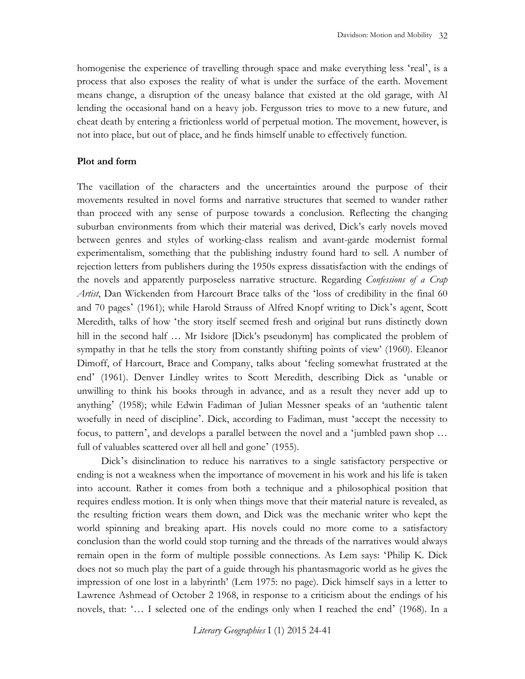homogenise the experience of travelling through space and make everything less 'real', is a process that also exposes the reality of what is under the surface of the earth. Movement means change, a disruption of the uneasy balance that existed at the old garage, with Al lending the occasional hand on a heavy job. Fergusson tries to move to a new future, and cheat death by entering a frictionless world of perpetual motion. The movement, however, is not into place, but out of place, and he finds himself unable to effectively function.

#### **Plot and form**

The vacillation of the characters and the uncertainties around the purpose of their movements resulted in novel forms and narrative structures that seemed to wander rather than proceed with any sense of purpose towards a conclusion. Reflecting the changing suburban environments from which their material was derived, Dick's early novels moved between genres and styles of working-class realism and avant-garde modernist formal experimentalism, something that the publishing industry found hard to sell. A number of rejection letters from publishers during the 1950s express dissatisfaction with the endings of the novels and apparently purposeless narrative structure. Regarding *Confessions of a Crap Artist*, Dan Wickenden from Harcourt Brace talks of the 'loss of credibility in the final 60 and 70 pages' (1961); while Harold Strauss of Alfred Knopf writing to Dick's agent, Scott Meredith, talks of how 'the story itself seemed fresh and original but runs distinctly down hill in the second half ... Mr Isidore [Dick's pseudonym] has complicated the problem of sympathy in that he tells the story from constantly shifting points of view' (1960). Eleanor Dimoff, of Harcourt, Brace and Company, talks about 'feeling somewhat frustrated at the end' (1961). Denver Lindley writes to Scott Meredith, describing Dick as 'unable or unwilling to think his books through in advance, and as a result they never add up to anything' (1958); while Edwin Fadiman of Julian Messner speaks of an 'authentic talent woefully in need of discipline'. Dick, according to Fadiman, must 'accept the necessity to focus, to pattern', and develops a parallel between the novel and a 'jumbled pawn shop … full of valuables scattered over all hell and gone' (1955).

Dick's disinclination to reduce his narratives to a single satisfactory perspective or ending is not a weakness when the importance of movement in his work and his life is taken into account. Rather it comes from both a technique and a philosophical position that requires endless motion. It is only when things move that their material nature is revealed, as the resulting friction wears them down, and Dick was the mechanic writer who kept the world spinning and breaking apart. His novels could no more come to a satisfactory conclusion than the world could stop turning and the threads of the narratives would always remain open in the form of multiple possible connections. As Lem says: 'Philip K. Dick does not so much play the part of a guide through his phantasmagoric world as he gives the impression of one lost in a labyrinth' (Lem 1975: no page). Dick himself says in a letter to Lawrence Ashmead of October 2 1968, in response to a criticism about the endings of his novels, that: '… I selected one of the endings only when I reached the end' (1968). In a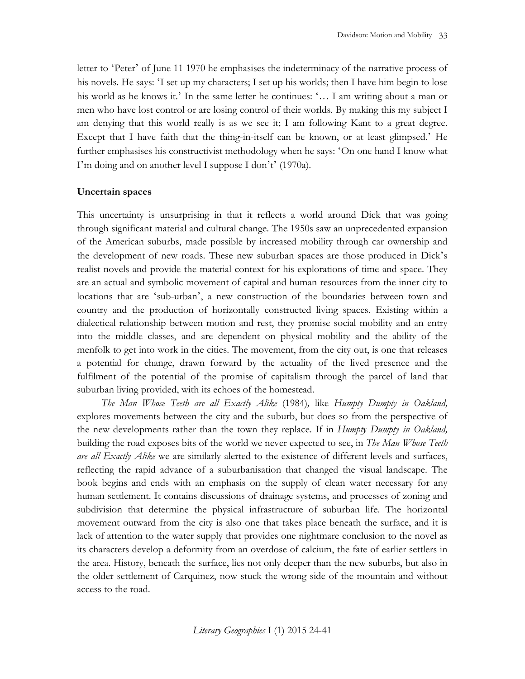letter to 'Peter' of June 11 1970 he emphasises the indeterminacy of the narrative process of his novels. He says: 'I set up my characters; I set up his worlds; then I have him begin to lose his world as he knows it.' In the same letter he continues: '… I am writing about a man or men who have lost control or are losing control of their worlds. By making this my subject I am denying that this world really is as we see it; I am following Kant to a great degree. Except that I have faith that the thing-in-itself can be known, or at least glimpsed.' He further emphasises his constructivist methodology when he says: 'On one hand I know what I'm doing and on another level I suppose I don't' (1970a).

#### **Uncertain spaces**

This uncertainty is unsurprising in that it reflects a world around Dick that was going through significant material and cultural change. The 1950s saw an unprecedented expansion of the American suburbs, made possible by increased mobility through car ownership and the development of new roads. These new suburban spaces are those produced in Dick's realist novels and provide the material context for his explorations of time and space. They are an actual and symbolic movement of capital and human resources from the inner city to locations that are 'sub-urban', a new construction of the boundaries between town and country and the production of horizontally constructed living spaces. Existing within a dialectical relationship between motion and rest, they promise social mobility and an entry into the middle classes, and are dependent on physical mobility and the ability of the menfolk to get into work in the cities. The movement, from the city out, is one that releases a potential for change, drawn forward by the actuality of the lived presence and the fulfilment of the potential of the promise of capitalism through the parcel of land that suburban living provided, with its echoes of the homestead.

*The Man Whose Teeth are all Exactly Alike* (1984)*,* like *Humpty Dumpty in Oakland,* explores movements between the city and the suburb, but does so from the perspective of the new developments rather than the town they replace. If in *Humpty Dumpty in Oakland,* building the road exposes bits of the world we never expected to see, in *The Man Whose Teeth are all Exactly Alike* we are similarly alerted to the existence of different levels and surfaces, reflecting the rapid advance of a suburbanisation that changed the visual landscape. The book begins and ends with an emphasis on the supply of clean water necessary for any human settlement. It contains discussions of drainage systems, and processes of zoning and subdivision that determine the physical infrastructure of suburban life. The horizontal movement outward from the city is also one that takes place beneath the surface, and it is lack of attention to the water supply that provides one nightmare conclusion to the novel as its characters develop a deformity from an overdose of calcium, the fate of earlier settlers in the area. History, beneath the surface, lies not only deeper than the new suburbs, but also in the older settlement of Carquinez, now stuck the wrong side of the mountain and without access to the road.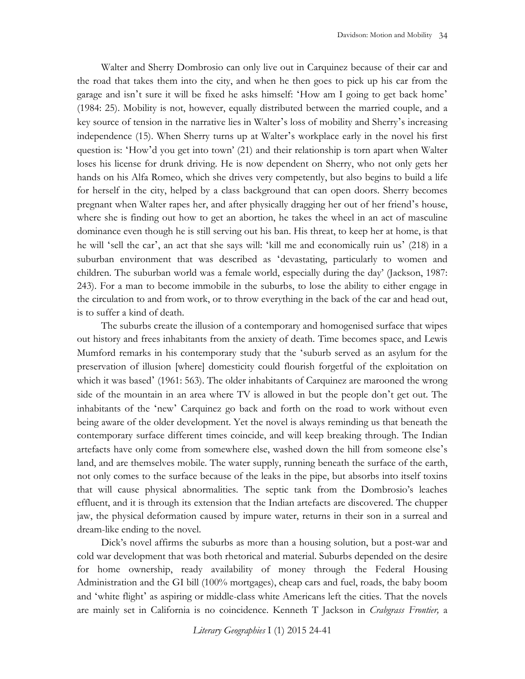Walter and Sherry Dombrosio can only live out in Carquinez because of their car and the road that takes them into the city, and when he then goes to pick up his car from the garage and isn't sure it will be fixed he asks himself: 'How am I going to get back home' (1984: 25). Mobility is not, however, equally distributed between the married couple, and a key source of tension in the narrative lies in Walter's loss of mobility and Sherry's increasing independence (15). When Sherry turns up at Walter's workplace early in the novel his first question is: 'How'd you get into town' (21) and their relationship is torn apart when Walter loses his license for drunk driving. He is now dependent on Sherry, who not only gets her hands on his Alfa Romeo, which she drives very competently, but also begins to build a life for herself in the city, helped by a class background that can open doors. Sherry becomes pregnant when Walter rapes her, and after physically dragging her out of her friend's house, where she is finding out how to get an abortion, he takes the wheel in an act of masculine dominance even though he is still serving out his ban. His threat, to keep her at home, is that he will 'sell the car', an act that she says will: 'kill me and economically ruin us' (218) in a suburban environment that was described as 'devastating, particularly to women and children. The suburban world was a female world, especially during the day' (Jackson, 1987: 243). For a man to become immobile in the suburbs, to lose the ability to either engage in the circulation to and from work, or to throw everything in the back of the car and head out, is to suffer a kind of death.

The suburbs create the illusion of a contemporary and homogenised surface that wipes out history and frees inhabitants from the anxiety of death. Time becomes space, and Lewis Mumford remarks in his contemporary study that the 'suburb served as an asylum for the preservation of illusion [where] domesticity could flourish forgetful of the exploitation on which it was based' (1961: 563). The older inhabitants of Carquinez are marooned the wrong side of the mountain in an area where TV is allowed in but the people don't get out. The inhabitants of the 'new' Carquinez go back and forth on the road to work without even being aware of the older development. Yet the novel is always reminding us that beneath the contemporary surface different times coincide, and will keep breaking through. The Indian artefacts have only come from somewhere else, washed down the hill from someone else's land, and are themselves mobile. The water supply, running beneath the surface of the earth, not only comes to the surface because of the leaks in the pipe, but absorbs into itself toxins that will cause physical abnormalities. The septic tank from the Dombrosio's leaches effluent, and it is through its extension that the Indian artefacts are discovered. The chupper jaw, the physical deformation caused by impure water, returns in their son in a surreal and dream-like ending to the novel.

Dick's novel affirms the suburbs as more than a housing solution, but a post-war and cold war development that was both rhetorical and material. Suburbs depended on the desire for home ownership, ready availability of money through the Federal Housing Administration and the GI bill (100% mortgages), cheap cars and fuel, roads, the baby boom and 'white flight' as aspiring or middle-class white Americans left the cities. That the novels are mainly set in California is no coincidence. Kenneth T Jackson in *Crabgrass Frontier,* a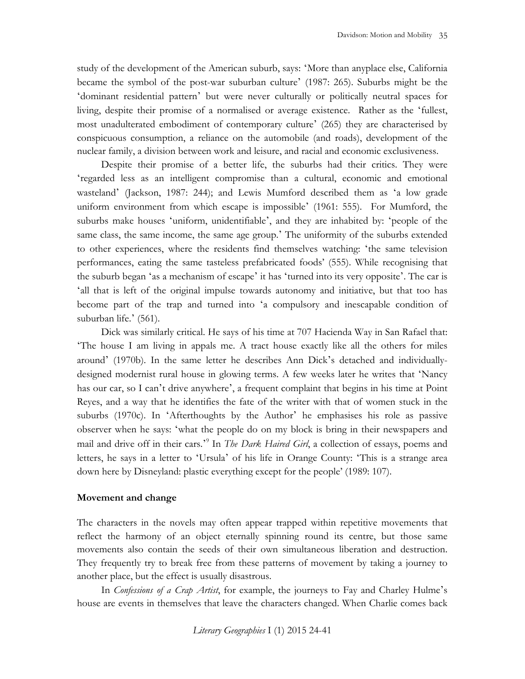study of the development of the American suburb, says: 'More than anyplace else, California became the symbol of the post-war suburban culture' (1987: 265). Suburbs might be the 'dominant residential pattern' but were never culturally or politically neutral spaces for living, despite their promise of a normalised or average existence. Rather as the 'fullest, most unadulterated embodiment of contemporary culture' (265) they are characterised by conspicuous consumption, a reliance on the automobile (and roads), development of the nuclear family, a division between work and leisure, and racial and economic exclusiveness.

Despite their promise of a better life, the suburbs had their critics. They were 'regarded less as an intelligent compromise than a cultural, economic and emotional wasteland' (Jackson, 1987: 244); and Lewis Mumford described them as 'a low grade uniform environment from which escape is impossible' (1961: 555). For Mumford, the suburbs make houses 'uniform, unidentifiable', and they are inhabited by: 'people of the same class, the same income, the same age group.' The uniformity of the suburbs extended to other experiences, where the residents find themselves watching: 'the same television performances, eating the same tasteless prefabricated foods' (555). While recognising that the suburb began 'as a mechanism of escape' it has 'turned into its very opposite'. The car is 'all that is left of the original impulse towards autonomy and initiative, but that too has become part of the trap and turned into 'a compulsory and inescapable condition of suburban life.' (561).

Dick was similarly critical. He says of his time at 707 Hacienda Way in San Rafael that: 'The house I am living in appals me. A tract house exactly like all the others for miles around' (1970b). In the same letter he describes Ann Dick's detached and individuallydesigned modernist rural house in glowing terms. A few weeks later he writes that 'Nancy has our car, so I can't drive anywhere', a frequent complaint that begins in his time at Point Reyes, and a way that he identifies the fate of the writer with that of women stuck in the suburbs (1970c). In 'Afterthoughts by the Author' he emphasises his role as passive observer when he says: 'what the people do on my block is bring in their newspapers and mail and drive off in their cars.' 9 In *The Dark Haired Girl*, a collection of essays, poems and letters, he says in a letter to 'Ursula' of his life in Orange County: 'This is a strange area down here by Disneyland: plastic everything except for the people' (1989: 107).

#### **Movement and change**

The characters in the novels may often appear trapped within repetitive movements that reflect the harmony of an object eternally spinning round its centre, but those same movements also contain the seeds of their own simultaneous liberation and destruction. They frequently try to break free from these patterns of movement by taking a journey to another place, but the effect is usually disastrous.

In *Confessions of a Crap Artist*, for example, the journeys to Fay and Charley Hulme's house are events in themselves that leave the characters changed. When Charlie comes back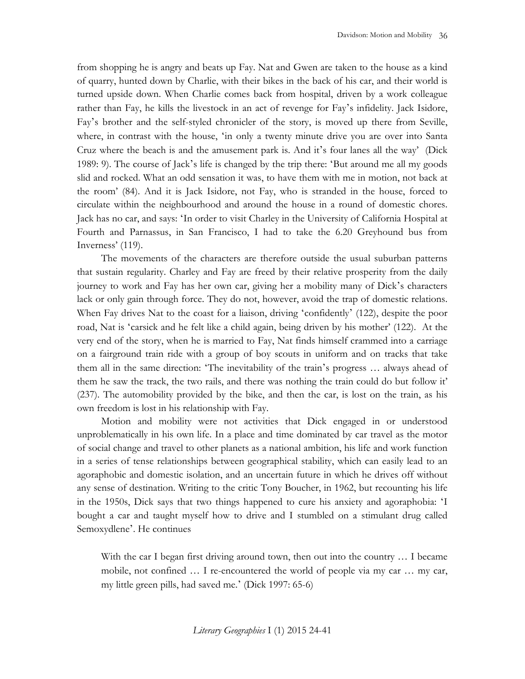from shopping he is angry and beats up Fay. Nat and Gwen are taken to the house as a kind of quarry, hunted down by Charlie, with their bikes in the back of his car, and their world is turned upside down. When Charlie comes back from hospital, driven by a work colleague rather than Fay, he kills the livestock in an act of revenge for Fay's infidelity. Jack Isidore, Fay's brother and the self-styled chronicler of the story, is moved up there from Seville, where, in contrast with the house, 'in only a twenty minute drive you are over into Santa Cruz where the beach is and the amusement park is. And it's four lanes all the way' (Dick 1989: 9). The course of Jack's life is changed by the trip there: 'But around me all my goods slid and rocked. What an odd sensation it was, to have them with me in motion, not back at the room' (84). And it is Jack Isidore, not Fay, who is stranded in the house, forced to circulate within the neighbourhood and around the house in a round of domestic chores. Jack has no car, and says: 'In order to visit Charley in the University of California Hospital at Fourth and Parnassus, in San Francisco, I had to take the 6.20 Greyhound bus from Inverness' (119).

The movements of the characters are therefore outside the usual suburban patterns that sustain regularity. Charley and Fay are freed by their relative prosperity from the daily journey to work and Fay has her own car, giving her a mobility many of Dick's characters lack or only gain through force. They do not, however, avoid the trap of domestic relations. When Fay drives Nat to the coast for a liaison, driving 'confidently' (122), despite the poor road, Nat is 'carsick and he felt like a child again, being driven by his mother' (122). At the very end of the story, when he is married to Fay, Nat finds himself crammed into a carriage on a fairground train ride with a group of boy scouts in uniform and on tracks that take them all in the same direction: 'The inevitability of the train's progress … always ahead of them he saw the track, the two rails, and there was nothing the train could do but follow it' (237). The automobility provided by the bike, and then the car, is lost on the train, as his own freedom is lost in his relationship with Fay.

Motion and mobility were not activities that Dick engaged in or understood unproblematically in his own life. In a place and time dominated by car travel as the motor of social change and travel to other planets as a national ambition, his life and work function in a series of tense relationships between geographical stability, which can easily lead to an agoraphobic and domestic isolation, and an uncertain future in which he drives off without any sense of destination. Writing to the critic Tony Boucher, in 1962, but recounting his life in the 1950s, Dick says that two things happened to cure his anxiety and agoraphobia: 'I bought a car and taught myself how to drive and I stumbled on a stimulant drug called Semoxydlene'. He continues

With the car I began first driving around town, then out into the country … I became mobile, not confined … I re-encountered the world of people via my car … my car, my little green pills, had saved me.' (Dick 1997: 65-6)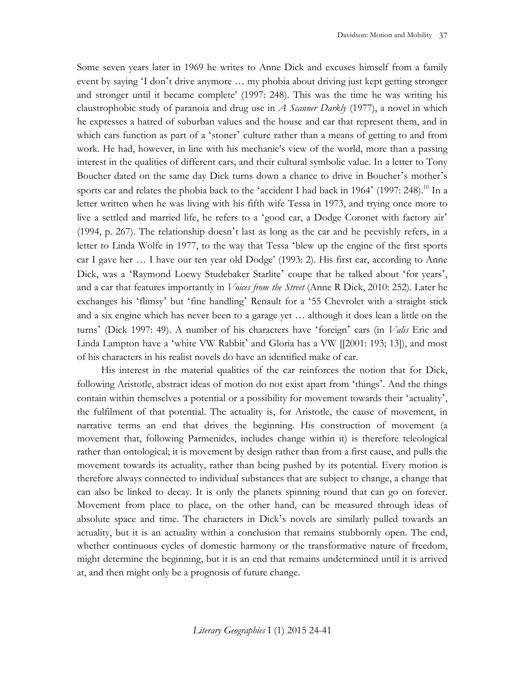Some seven years later in 1969 he writes to Anne Dick and excuses himself from a family event by saying 'I don't drive anymore … my phobia about driving just kept getting stronger and stronger until it became complete' (1997: 248). This was the time he was writing his claustrophobic study of paranoia and drug use in *A Scanner Darkly* (1977), a novel in which he expresses a hatred of suburban values and the house and car that represent them, and in which cars function as part of a 'stoner' culture rather than a means of getting to and from work. He had, however, in line with his mechanic's view of the world, more than a passing interest in the qualities of different cars, and their cultural symbolic value. In a letter to Tony Boucher dated on the same day Dick turns down a chance to drive in Boucher's mother's sports car and relates the phobia back to the 'accident I had back in 1964' (1997: 248).<sup>10</sup> In a letter written when he was living with his fifth wife Tessa in 1973, and trying once more to live a settled and married life, he refers to a 'good car, a Dodge Coronet with factory air' (1994, p. 267). The relationship doesn't last as long as the car and he peevishly refers, in a letter to Linda Wolfe in 1977, to the way that Tessa 'blew up the engine of the first sports car I gave her … I have our ten year old Dodge' (1993: 2). His first car, according to Anne Dick, was a 'Raymond Loewy Studebaker Starlite' coupe that he talked about 'for years', and a car that features importantly in *Voices from the Street* (Anne R Dick, 2010: 252). Later he exchanges his 'flimsy' but 'fine handling' Renault for a '55 Chevrolet with a straight stick and a six engine which has never been to a garage yet … although it does lean a little on the turns' (Dick 1997: 49). A number of his characters have 'foreign' cars (in *Valis* Eric and Linda Lampton have a 'white VW Rabbit' and Gloria has a VW [[2001: 193; 13]), and most of his characters in his realist novels do have an identified make of car.

His interest in the material qualities of the car reinforces the notion that for Dick, following Aristotle, abstract ideas of motion do not exist apart from 'things'. And the things contain within themselves a potential or a possibility for movement towards their 'actuality', the fulfilment of that potential. The actuality is, for Aristotle, the cause of movement, in narrative terms an end that drives the beginning. His construction of movement (a movement that, following Parmenides, includes change within it) is therefore teleological rather than ontological; it is movement by design rather than from a first cause, and pulls the movement towards its actuality, rather than being pushed by its potential. Every motion is therefore always connected to individual substances that are subject to change, a change that can also be linked to decay. It is only the planets spinning round that can go on forever. Movement from place to place, on the other hand, can be measured through ideas of absolute space and time. The characters in Dick's novels are similarly pulled towards an actuality, but it is an actuality within a conclusion that remains stubbornly open. The end, whether continuous cycles of domestic harmony or the transformative nature of freedom, might determine the beginning, but it is an end that remains undetermined until it is arrived at, and then might only be a prognosis of future change.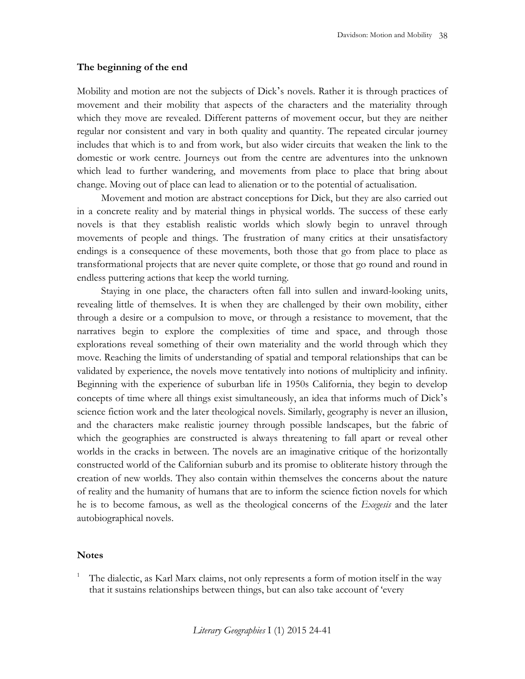#### **The beginning of the end**

Mobility and motion are not the subjects of Dick's novels. Rather it is through practices of movement and their mobility that aspects of the characters and the materiality through which they move are revealed. Different patterns of movement occur, but they are neither regular nor consistent and vary in both quality and quantity. The repeated circular journey includes that which is to and from work, but also wider circuits that weaken the link to the domestic or work centre. Journeys out from the centre are adventures into the unknown which lead to further wandering, and movements from place to place that bring about change. Moving out of place can lead to alienation or to the potential of actualisation.

Movement and motion are abstract conceptions for Dick, but they are also carried out in a concrete reality and by material things in physical worlds. The success of these early novels is that they establish realistic worlds which slowly begin to unravel through movements of people and things. The frustration of many critics at their unsatisfactory endings is a consequence of these movements, both those that go from place to place as transformational projects that are never quite complete, or those that go round and round in endless puttering actions that keep the world turning.

Staying in one place, the characters often fall into sullen and inward-looking units, revealing little of themselves. It is when they are challenged by their own mobility, either through a desire or a compulsion to move, or through a resistance to movement, that the narratives begin to explore the complexities of time and space, and through those explorations reveal something of their own materiality and the world through which they move. Reaching the limits of understanding of spatial and temporal relationships that can be validated by experience, the novels move tentatively into notions of multiplicity and infinity. Beginning with the experience of suburban life in 1950s California, they begin to develop concepts of time where all things exist simultaneously, an idea that informs much of Dick's science fiction work and the later theological novels. Similarly, geography is never an illusion, and the characters make realistic journey through possible landscapes, but the fabric of which the geographies are constructed is always threatening to fall apart or reveal other worlds in the cracks in between. The novels are an imaginative critique of the horizontally constructed world of the Californian suburb and its promise to obliterate history through the creation of new worlds. They also contain within themselves the concerns about the nature of reality and the humanity of humans that are to inform the science fiction novels for which he is to become famous, as well as the theological concerns of the *Exegesis* and the later autobiographical novels.

#### **Notes**

The dialectic, as Karl Marx claims, not only represents a form of motion itself in the way that it sustains relationships between things, but can also take account of 'every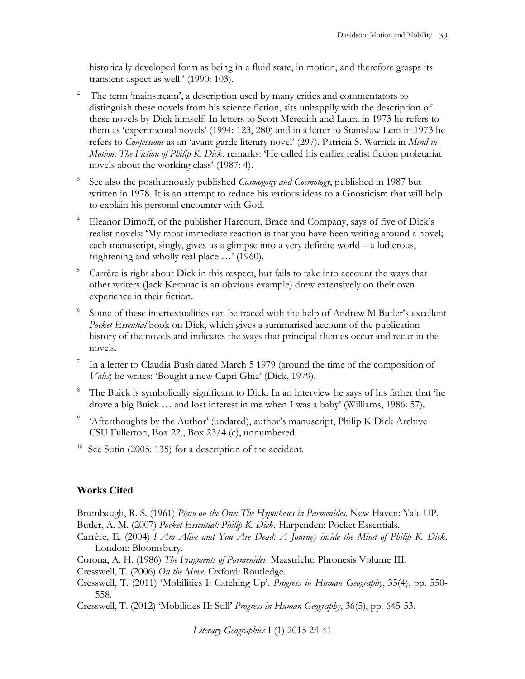historically developed form as being in a fluid state, in motion, and therefore grasps its transient aspect as well.' (1990: 103).

- <sup>2</sup> The term 'mainstream', a description used by many critics and commentators to distinguish these novels from his science fiction, sits unhappily with the description of these novels by Dick himself. In letters to Scott Meredith and Laura in 1973 he refers to them as 'experimental novels' (1994: 123, 280) and in a letter to Stanislaw Lem in 1973 he refers to *Confessions* as an 'avant-garde literary novel' (297). Patricia S. Warrick in *Mind in Motion: The Fiction of Philip K. Dick*, remarks: 'He called his earlier realist fiction proletariat novels about the working class' (1987: 4).
- 3 See also the posthumously published *Cosmogony and Cosmology*, published in 1987 but written in 1978. It is an attempt to reduce his various ideas to a Gnosticism that will help to explain his personal encounter with God.
- <sup>4</sup> Eleanor Dimoff, of the publisher Harcourt, Brace and Company, says of five of Dick's realist novels: 'My most immediate reaction is that you have been writing around a novel; each manuscript, singly, gives us a glimpse into a very definite world – a ludicrous, frightening and wholly real place …' (1960).
- <sup>5</sup> Carrère is right about Dick in this respect, but fails to take into account the ways that other writers (Jack Kerouac is an obvious example) drew extensively on their own experience in their fiction.
- <sup>6</sup> Some of these intertextualities can be traced with the help of Andrew M Butler's excellent *Pocket Essential* book on Dick, which gives a summarised account of the publication history of the novels and indicates the ways that principal themes occur and recur in the novels.
- $7$  In a letter to Claudia Bush dated March 5 1979 (around the time of the composition of *Valis*) he writes: 'Bought a new Capri Ghia' (Dick, 1979).
- <sup>8</sup> The Buick is symbolically significant to Dick. In an interview he says of his father that 'he drove a big Buick … and lost interest in me when I was a baby' (Williams, 1986: 57).
- <sup>9</sup> 'Afterthoughts by the Author' (undated), author's manuscript, Philip K Dick Archive CSU Fullerton, Box 22., Box 23/4 (c), unnumbered.
- $10$  See Sutin (2005: 135) for a description of the accident.

#### **Works Cited**

Brumbaugh, R. S. (1961) *Plato on the One: The Hypotheses in Parmenides*. New Haven: Yale UP. Butler, A. M. (2007) *Pocket Essential: Philip K. Dick*. Harpenden: Pocket Essentials.

- Carrère, E. (2004) *I Am Alive and You Are Dead: A Journey inside the Mind of Philip K. Dick*. London: Bloomsbury.
- Corona, A. H. (1986) *The Fragments of Parmenides*. Maastricht: Phronesis Volume III.
- Cresswell, T. (2006) *On the Move*. Oxford: Routledge.
- Cresswell, T. (2011) 'Mobilities I: Catching Up'. *Progress in Human Geography*, 35(4), pp. 550- 558.
- Cresswell, T. (2012) 'Mobilities II: Still' *Progress in Human Geography*, 36(5), pp. 645-53.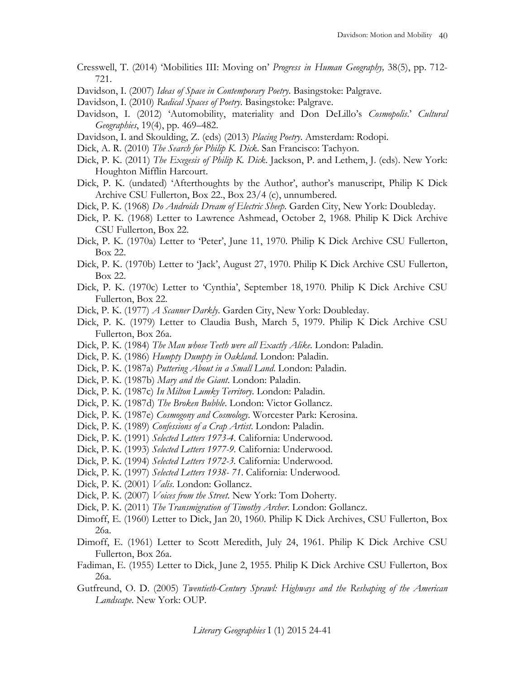- Cresswell, T. (2014) 'Mobilities III: Moving on' *Progress in Human Geography,* 38(5), pp. 712- 721.
- Davidson, I. (2007) *Ideas of Space in Contemporary Poetry*. Basingstoke: Palgrave.
- Davidson, I. (2010) *Radical Spaces of Poetry*. Basingstoke: Palgrave.
- Davidson, I. (2012) 'Automobility, materiality and Don DeLillo's *Cosmopolis*.' *Cultural Geographies*, 19(4), pp. 469–482.
- Davidson, I. and Skoulding, Z. (eds) (2013) *Placing Poetry*. Amsterdam: Rodopi.
- Dick, A. R. (2010) *The Search for Philip K. Dick*. San Francisco: Tachyon.
- Dick, P. K. (2011) *The Exegesis of Philip K. Dick*. Jackson, P. and Lethem, J. (eds). New York: Houghton Mifflin Harcourt.
- Dick, P. K. (undated) 'Afterthoughts by the Author', author's manuscript, Philip K Dick Archive CSU Fullerton, Box 22., Box 23/4 (c), unnumbered.
- Dick, P. K. (1968) *Do Androids Dream of Electric Sheep*. Garden City, New York: Doubleday.
- Dick, P. K. (1968) Letter to Lawrence Ashmead, October 2, 1968. Philip K Dick Archive CSU Fullerton, Box 22.
- Dick, P. K. (1970a) Letter to 'Peter', June 11, 1970. Philip K Dick Archive CSU Fullerton, Box 22.
- Dick, P. K. (1970b) Letter to 'Jack', August 27, 1970. Philip K Dick Archive CSU Fullerton, Box 22.
- Dick, P. K. (1970c) Letter to 'Cynthia', September 18, 1970. Philip K Dick Archive CSU Fullerton, Box 22.
- Dick, P. K. (1977) *A Scanner Darkly*. Garden City, New York: Doubleday.
- Dick, P. K. (1979) Letter to Claudia Bush, March 5, 1979. Philip K Dick Archive CSU Fullerton, Box 26a.
- Dick, P. K. (1984) *The Man whose Teeth were all Exactly Alike*. London: Paladin.
- Dick, P. K. (1986) *Humpty Dumpty in Oakland*. London: Paladin.
- Dick, P. K. (1987a) *Puttering About in a Small Land*. London: Paladin.
- Dick, P. K. (1987b) *Mary and the Giant*. London: Paladin.
- Dick, P. K. (1987c) *In Milton Lumky Territory*. London: Paladin.
- Dick, P. K. (1987d) *The Broken Bubble*. London: Victor Gollancz.
- Dick, P. K. (1987e) *Cosmogony and Cosmology*. Worcester Park: Kerosina.
- Dick, P. K. (1989) *Confessions of a Crap Artist*. London: Paladin.
- Dick, P. K. (1991) *Selected Letters 1973-4*. California: Underwood.
- Dick, P. K. (1993) *Selected Letters 1977-9*. California: Underwood.
- Dick, P. K. (1994) *Selected Letters 1972-3.* California: Underwood.
- Dick, P. K. (1997) *Selected Letters 1938- 71*. California: Underwood.
- Dick, P. K. (2001) *Valis*. London: Gollancz.
- Dick, P. K. (2007) *Voices from the Street*. New York: Tom Doherty.
- Dick, P. K. (2011) *The Transmigration of Timothy Archer*. London: Gollancz.
- Dimoff, E. (1960) Letter to Dick, Jan 20, 1960. Philip K Dick Archives, CSU Fullerton, Box 26a.
- Dimoff, E. (1961) Letter to Scott Meredith, July 24, 1961. Philip K Dick Archive CSU Fullerton, Box 26a.
- Fadiman, E. (1955) Letter to Dick, June 2, 1955. Philip K Dick Archive CSU Fullerton, Box 26a.
- Gutfreund, O. D. (2005) *Twentieth-Century Sprawl: Highways and the Reshaping of the American Landscape*. New York: OUP.